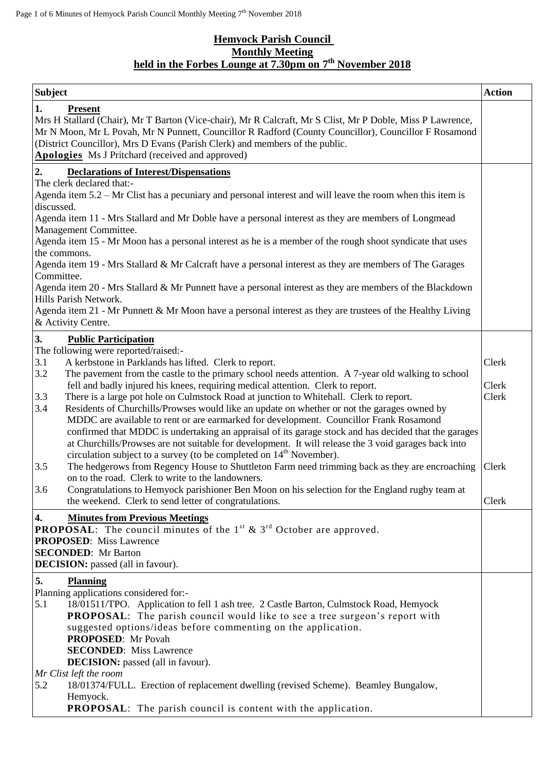## **Hemyock Parish Council Monthly Meeting held in the Forbes Lounge at 7.30pm on 7 th November 2018**

| <b>Subject</b>                                                                                                                                                                                                                                                                                                                                                                                                                                                                        | <b>Action</b>  |
|---------------------------------------------------------------------------------------------------------------------------------------------------------------------------------------------------------------------------------------------------------------------------------------------------------------------------------------------------------------------------------------------------------------------------------------------------------------------------------------|----------------|
| 1.<br><b>Present</b><br>Mrs H Stallard (Chair), Mr T Barton (Vice-chair), Mr R Calcraft, Mr S Clist, Mr P Doble, Miss P Lawrence,<br>Mr N Moon, Mr L Povah, Mr N Punnett, Councillor R Radford (County Councillor), Councillor F Rosamond<br>(District Councillor), Mrs D Evans (Parish Clerk) and members of the public.<br><b>Apologies</b> Ms J Pritchard (received and approved)                                                                                                  |                |
| 2.<br><b>Declarations of Interest/Dispensations</b>                                                                                                                                                                                                                                                                                                                                                                                                                                   |                |
| The clerk declared that:-<br>Agenda item 5.2 – Mr Clist has a pecuniary and personal interest and will leave the room when this item is<br>discussed.                                                                                                                                                                                                                                                                                                                                 |                |
| Agenda item 11 - Mrs Stallard and Mr Doble have a personal interest as they are members of Longmead<br>Management Committee.                                                                                                                                                                                                                                                                                                                                                          |                |
| Agenda item 15 - Mr Moon has a personal interest as he is a member of the rough shoot syndicate that uses<br>the commons.                                                                                                                                                                                                                                                                                                                                                             |                |
| Agenda item 19 - Mrs Stallard & Mr Calcraft have a personal interest as they are members of The Garages<br>Committee.                                                                                                                                                                                                                                                                                                                                                                 |                |
| Agenda item 20 - Mrs Stallard & Mr Punnett have a personal interest as they are members of the Blackdown<br>Hills Parish Network.                                                                                                                                                                                                                                                                                                                                                     |                |
| Agenda item 21 - Mr Punnett & Mr Moon have a personal interest as they are trustees of the Healthy Living<br>& Activity Centre.                                                                                                                                                                                                                                                                                                                                                       |                |
| 3.<br><b>Public Participation</b>                                                                                                                                                                                                                                                                                                                                                                                                                                                     |                |
| The following were reported/raised:-<br>3.1<br>A kerbstone in Parklands has lifted. Clerk to report.                                                                                                                                                                                                                                                                                                                                                                                  | Clerk          |
| The pavement from the castle to the primary school needs attention. A 7-year old walking to school<br>3.2                                                                                                                                                                                                                                                                                                                                                                             |                |
| fell and badly injured his knees, requiring medical attention. Clerk to report.<br>3.3<br>There is a large pot hole on Culmstock Road at junction to Whitehall. Clerk to report.                                                                                                                                                                                                                                                                                                      | Clerk<br>Clerk |
| 3.4<br>Residents of Churchills/Prowses would like an update on whether or not the garages owned by<br>MDDC are available to rent or are earmarked for development. Councillor Frank Rosamond<br>confirmed that MDDC is undertaking an appraisal of its garage stock and has decided that the garages<br>at Churchills/Prowses are not suitable for development. It will release the 3 void garages back into<br>circulation subject to a survey (to be completed on $14th$ November). |                |
| The hedgerows from Regency House to Shuttleton Farm need trimming back as they are encroaching<br>3.5<br>on to the road. Clerk to write to the landowners.                                                                                                                                                                                                                                                                                                                            | Clerk          |
| 3.6<br>Congratulations to Hemyock parishioner Ben Moon on his selection for the England rugby team at<br>the weekend. Clerk to send letter of congratulations.                                                                                                                                                                                                                                                                                                                        | Clerk          |
| 4.<br><b>Minutes from Previous Meetings</b><br><b>PROPOSAL:</b> The council minutes of the $1st$ & $3rd$ October are approved.<br><b>PROPOSED:</b> Miss Lawrence<br><b>SECONDED:</b> Mr Barton<br><b>DECISION:</b> passed (all in favour).                                                                                                                                                                                                                                            |                |
| 5.<br><b>Planning</b>                                                                                                                                                                                                                                                                                                                                                                                                                                                                 |                |
| Planning applications considered for:-<br>5.1<br>18/01511/TPO. Application to fell 1 ash tree. 2 Castle Barton, Culmstock Road, Hemyock<br><b>PROPOSAL:</b> The parish council would like to see a tree surgeon's report with                                                                                                                                                                                                                                                         |                |
| suggested options/ideas before commenting on the application.<br><b>PROPOSED:</b> Mr Povah                                                                                                                                                                                                                                                                                                                                                                                            |                |
| <b>SECONDED:</b> Miss Lawrence<br><b>DECISION:</b> passed (all in favour).                                                                                                                                                                                                                                                                                                                                                                                                            |                |
| Mr Clist left the room                                                                                                                                                                                                                                                                                                                                                                                                                                                                |                |
| 5.2<br>18/01374/FULL. Erection of replacement dwelling (revised Scheme). Beamley Bungalow,<br>Hemyock.                                                                                                                                                                                                                                                                                                                                                                                |                |
| <b>PROPOSAL:</b> The parish council is content with the application.                                                                                                                                                                                                                                                                                                                                                                                                                  |                |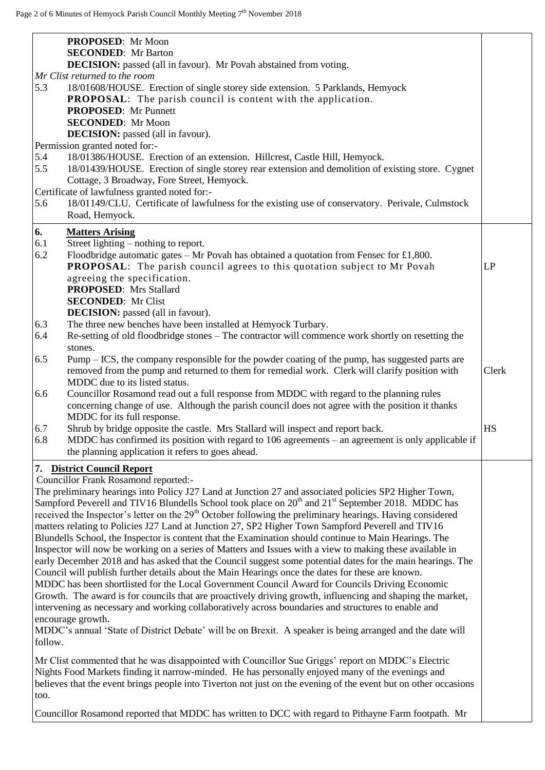|            | PROPOSED: Mr Moon<br><b>SECONDED:</b> Mr Barton                                                                                                                                                                                                                                                                                                                                                                                                                  |       |
|------------|------------------------------------------------------------------------------------------------------------------------------------------------------------------------------------------------------------------------------------------------------------------------------------------------------------------------------------------------------------------------------------------------------------------------------------------------------------------|-------|
|            | DECISION: passed (all in favour). Mr Povah abstained from voting.<br>Mr Clist returned to the room                                                                                                                                                                                                                                                                                                                                                               |       |
| 5.3        | 18/01608/HOUSE. Erection of single storey side extension. 5 Parklands, Hemyock<br><b>PROPOSAL:</b> The parish council is content with the application.<br><b>PROPOSED:</b> Mr Punnett                                                                                                                                                                                                                                                                            |       |
|            | <b>SECONDED:</b> Mr Moon                                                                                                                                                                                                                                                                                                                                                                                                                                         |       |
|            | <b>DECISION:</b> passed (all in favour).                                                                                                                                                                                                                                                                                                                                                                                                                         |       |
|            | Permission granted noted for:-                                                                                                                                                                                                                                                                                                                                                                                                                                   |       |
| 5.4<br>5.5 | 18/01386/HOUSE. Erection of an extension. Hillcrest, Castle Hill, Hemyock.<br>18/01439/HOUSE. Erection of single storey rear extension and demolition of existing store. Cygnet<br>Cottage, 3 Broadway, Fore Street, Hemyock.                                                                                                                                                                                                                                    |       |
|            | Certificate of lawfulness granted noted for:-                                                                                                                                                                                                                                                                                                                                                                                                                    |       |
| 5.6        | 18/01149/CLU. Certificate of lawfulness for the existing use of conservatory. Perivale, Culmstock                                                                                                                                                                                                                                                                                                                                                                |       |
|            | Road, Hemyock.                                                                                                                                                                                                                                                                                                                                                                                                                                                   |       |
| 6.         | <b>Matters Arising</b>                                                                                                                                                                                                                                                                                                                                                                                                                                           |       |
| 6.1        | Street lighting – nothing to report.                                                                                                                                                                                                                                                                                                                                                                                                                             |       |
| 6.2        | Floodbridge automatic gates $-$ Mr Povah has obtained a quotation from Fensec for £1,800.                                                                                                                                                                                                                                                                                                                                                                        |       |
|            | <b>PROPOSAL:</b> The parish council agrees to this quotation subject to Mr Povah                                                                                                                                                                                                                                                                                                                                                                                 | LP    |
|            | agreeing the specification.                                                                                                                                                                                                                                                                                                                                                                                                                                      |       |
|            | <b>PROPOSED:</b> Mrs Stallard                                                                                                                                                                                                                                                                                                                                                                                                                                    |       |
|            | <b>SECONDED:</b> Mr Clist                                                                                                                                                                                                                                                                                                                                                                                                                                        |       |
|            | <b>DECISION:</b> passed (all in favour).                                                                                                                                                                                                                                                                                                                                                                                                                         |       |
| 6.3        | The three new benches have been installed at Hemyock Turbary.                                                                                                                                                                                                                                                                                                                                                                                                    |       |
| 6.4        | Re-setting of old floodbridge stones - The contractor will commence work shortly on resetting the                                                                                                                                                                                                                                                                                                                                                                |       |
| 6.5        | stones.<br>Pump – ICS, the company responsible for the powder coating of the pump, has suggested parts are<br>removed from the pump and returned to them for remedial work. Clerk will clarify position with                                                                                                                                                                                                                                                     | Clerk |
|            | MDDC due to its listed status.                                                                                                                                                                                                                                                                                                                                                                                                                                   |       |
| 6.6        | Councillor Rosamond read out a full response from MDDC with regard to the planning rules                                                                                                                                                                                                                                                                                                                                                                         |       |
|            | concerning change of use. Although the parish council does not agree with the position it thanks                                                                                                                                                                                                                                                                                                                                                                 |       |
|            | MDDC for its full response.                                                                                                                                                                                                                                                                                                                                                                                                                                      |       |
| 6.7        | Shrub by bridge opposite the castle. Mrs Stallard will inspect and report back.                                                                                                                                                                                                                                                                                                                                                                                  | HS    |
| 6.8        | MDDC has confirmed its position with regard to 106 agreements $-$ an agreement is only applicable if<br>the planning application it refers to goes ahead.                                                                                                                                                                                                                                                                                                        |       |
|            |                                                                                                                                                                                                                                                                                                                                                                                                                                                                  |       |
|            | 7. District Council Report                                                                                                                                                                                                                                                                                                                                                                                                                                       |       |
|            | <b>Councillor Frank Rosamond reported:-</b>                                                                                                                                                                                                                                                                                                                                                                                                                      |       |
|            | The preliminary hearings into Policy J27 Land at Junction 27 and associated policies SP2 Higher Town,<br>Sampford Peverell and TIV16 Blundells School took place on 20 <sup>th</sup> and 21 <sup>st</sup> September 2018. MDDC has<br>received the Inspector's letter on the 29 <sup>th</sup> October following the preliminary hearings. Having considered<br>matters relating to Policies J27 Land at Junction 27, SP2 Higher Town Sampford Peverell and TIV16 |       |
|            | Blundells School, the Inspector is content that the Examination should continue to Main Hearings. The                                                                                                                                                                                                                                                                                                                                                            |       |
|            | Inspector will now be working on a series of Matters and Issues with a view to making these available in                                                                                                                                                                                                                                                                                                                                                         |       |
|            | early December 2018 and has asked that the Council suggest some potential dates for the main hearings. The                                                                                                                                                                                                                                                                                                                                                       |       |
|            | Council will publish further details about the Main Hearings once the dates for these are known.                                                                                                                                                                                                                                                                                                                                                                 |       |
|            | MDDC has been shortlisted for the Local Government Council Award for Councils Driving Economic                                                                                                                                                                                                                                                                                                                                                                   |       |
|            | Growth. The award is for councils that are proactively driving growth, influencing and shaping the market,                                                                                                                                                                                                                                                                                                                                                       |       |
|            | intervening as necessary and working collaboratively across boundaries and structures to enable and                                                                                                                                                                                                                                                                                                                                                              |       |
|            | encourage growth.                                                                                                                                                                                                                                                                                                                                                                                                                                                |       |
|            | MDDC's annual 'State of District Debate' will be on Brexit. A speaker is being arranged and the date will                                                                                                                                                                                                                                                                                                                                                        |       |
| follow.    |                                                                                                                                                                                                                                                                                                                                                                                                                                                                  |       |
|            | Mr Clist commented that he was disappointed with Councillor Sue Griggs' report on MDDC's Electric                                                                                                                                                                                                                                                                                                                                                                |       |
|            | Nights Food Markets finding it narrow-minded. He has personally enjoyed many of the evenings and                                                                                                                                                                                                                                                                                                                                                                 |       |
|            | believes that the event brings people into Tiverton not just on the evening of the event but on other occasions                                                                                                                                                                                                                                                                                                                                                  |       |
| too.       |                                                                                                                                                                                                                                                                                                                                                                                                                                                                  |       |
|            |                                                                                                                                                                                                                                                                                                                                                                                                                                                                  |       |
|            | Councillor Rosamond reported that MDDC has written to DCC with regard to Pithayne Farm footpath. Mr                                                                                                                                                                                                                                                                                                                                                              |       |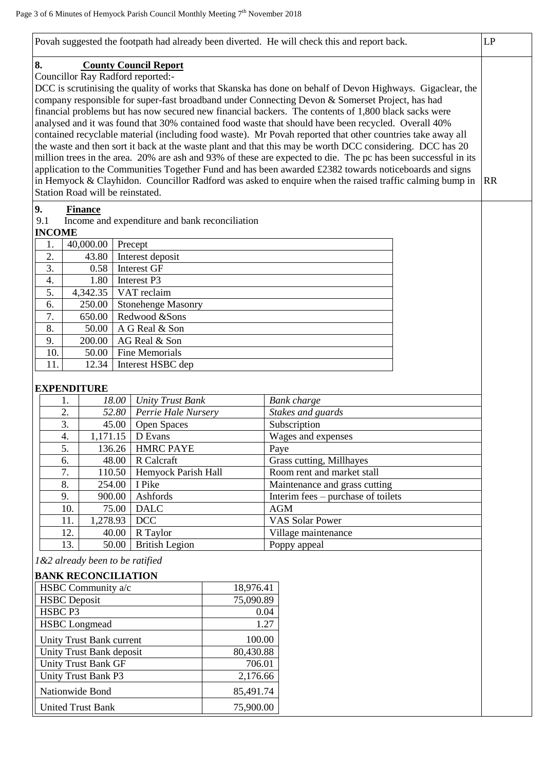| Povah suggested the footpath had already been diverted. He will check this and report back.<br>LP |                                                |                                                                                                                                                                                                         |           |
|---------------------------------------------------------------------------------------------------|------------------------------------------------|---------------------------------------------------------------------------------------------------------------------------------------------------------------------------------------------------------|-----------|
| 8.<br><b>County Council Report</b>                                                                |                                                |                                                                                                                                                                                                         |           |
| Councillor Ray Radford reported:-                                                                 |                                                |                                                                                                                                                                                                         |           |
|                                                                                                   |                                                | DCC is scrutinising the quality of works that Skanska has done on behalf of Devon Highways. Gigaclear, the                                                                                              |           |
|                                                                                                   |                                                | company responsible for super-fast broadband under Connecting Devon & Somerset Project, has had<br>financial problems but has now secured new financial backers. The contents of 1,800 black sacks were |           |
|                                                                                                   |                                                | analysed and it was found that 30% contained food waste that should have been recycled. Overall 40%                                                                                                     |           |
|                                                                                                   |                                                | contained recyclable material (including food waste). Mr Povah reported that other countries take away all                                                                                              |           |
|                                                                                                   |                                                | the waste and then sort it back at the waste plant and that this may be worth DCC considering. DCC has 20                                                                                               |           |
|                                                                                                   |                                                | million trees in the area. 20% are ash and 93% of these are expected to die. The pc has been successful in its                                                                                          |           |
|                                                                                                   |                                                | application to the Communities Together Fund and has been awarded £2382 towards noticeboards and signs                                                                                                  |           |
| Station Road will be reinstated.                                                                  |                                                | in Hemyock & Clayhidon. Councillor Radford was asked to enquire when the raised traffic calming bump in                                                                                                 | <b>RR</b> |
|                                                                                                   |                                                |                                                                                                                                                                                                         |           |
| 9.<br><b>Finance</b>                                                                              |                                                |                                                                                                                                                                                                         |           |
| 9.1<br><b>INCOME</b>                                                                              | Income and expenditure and bank reconciliation |                                                                                                                                                                                                         |           |
| 40,000.00<br>Precept<br>1.                                                                        |                                                |                                                                                                                                                                                                         |           |
| 2.<br>Interest deposit<br>43.80                                                                   |                                                |                                                                                                                                                                                                         |           |
| 3.<br>0.58<br>Interest GF                                                                         |                                                |                                                                                                                                                                                                         |           |
| $\overline{4}$ .<br>1.80<br>Interest P3                                                           |                                                |                                                                                                                                                                                                         |           |
| 5.<br>4,342.35<br>VAT reclaim                                                                     |                                                |                                                                                                                                                                                                         |           |
| 250.00<br>6.                                                                                      | <b>Stonehenge Masonry</b>                      |                                                                                                                                                                                                         |           |
| 7.<br>650.00<br>Redwood &Sons                                                                     |                                                |                                                                                                                                                                                                         |           |
| 8.<br>50.00<br>A G Real & Son                                                                     |                                                |                                                                                                                                                                                                         |           |
| 9.<br>200.00<br>AG Real & Son<br>10.<br><b>Fine Memorials</b><br>50.00                            |                                                |                                                                                                                                                                                                         |           |
| 11.<br>Interest HSBC dep<br>12.34                                                                 |                                                |                                                                                                                                                                                                         |           |
|                                                                                                   |                                                |                                                                                                                                                                                                         |           |
| <b>EXPENDITURE</b>                                                                                |                                                |                                                                                                                                                                                                         |           |
| 18.00<br>1.                                                                                       | <b>Unity Trust Bank</b>                        | <b>Bank</b> charge                                                                                                                                                                                      |           |
| 2.<br>52.80                                                                                       | Perrie Hale Nursery                            | Stakes and guards                                                                                                                                                                                       |           |
| 3.<br>45.00                                                                                       | Open Spaces                                    | Subscription                                                                                                                                                                                            |           |
| $\overline{4}$ .<br>D Evans<br>1,171.15                                                           |                                                | Wages and expenses                                                                                                                                                                                      |           |
| 5.<br>136.26<br>6.<br>R Calcraft                                                                  | <b>HMRC PAYE</b>                               | Paye                                                                                                                                                                                                    |           |
| 48.00<br>7.<br>110.50                                                                             | Hemyock Parish Hall                            | Grass cutting, Millhayes<br>Room rent and market stall                                                                                                                                                  |           |
| 8.<br>254.00<br>I Pike                                                                            |                                                | Maintenance and grass cutting                                                                                                                                                                           |           |
| Ashfords<br>9.<br>900.00                                                                          |                                                | Interim fees – purchase of toilets                                                                                                                                                                      |           |
| 10.<br>75.00<br><b>DALC</b>                                                                       |                                                | AGM                                                                                                                                                                                                     |           |
| DCC<br>11.<br>1,278.93                                                                            |                                                | <b>VAS Solar Power</b>                                                                                                                                                                                  |           |
| 12.<br>40.00<br>R Taylor                                                                          |                                                | Village maintenance                                                                                                                                                                                     |           |
| 13.<br>50.00                                                                                      | <b>British Legion</b>                          | Poppy appeal                                                                                                                                                                                            |           |
| 1&2 already been to be ratified                                                                   |                                                |                                                                                                                                                                                                         |           |
| <b>BANK RECONCILIATION</b>                                                                        |                                                |                                                                                                                                                                                                         |           |
| HSBC Community a/c                                                                                | 18,976.41                                      |                                                                                                                                                                                                         |           |
| <b>HSBC</b> Deposit                                                                               | 75,090.89                                      |                                                                                                                                                                                                         |           |
| HSBC P3                                                                                           | 0.04                                           |                                                                                                                                                                                                         |           |
| <b>HSBC</b> Longmead                                                                              |                                                | 1.27                                                                                                                                                                                                    |           |
| <b>Unity Trust Bank current</b>                                                                   | 100.00                                         |                                                                                                                                                                                                         |           |
| Unity Trust Bank deposit                                                                          | 80,430.88                                      |                                                                                                                                                                                                         |           |
| <b>Unity Trust Bank GF</b>                                                                        | 706.01                                         |                                                                                                                                                                                                         |           |
| Unity Trust Bank P3                                                                               | 2,176.66                                       |                                                                                                                                                                                                         |           |
| Nationwide Bond                                                                                   | 85,491.74                                      |                                                                                                                                                                                                         |           |
| 75,900.00<br><b>United Trust Bank</b>                                                             |                                                |                                                                                                                                                                                                         |           |
|                                                                                                   |                                                |                                                                                                                                                                                                         |           |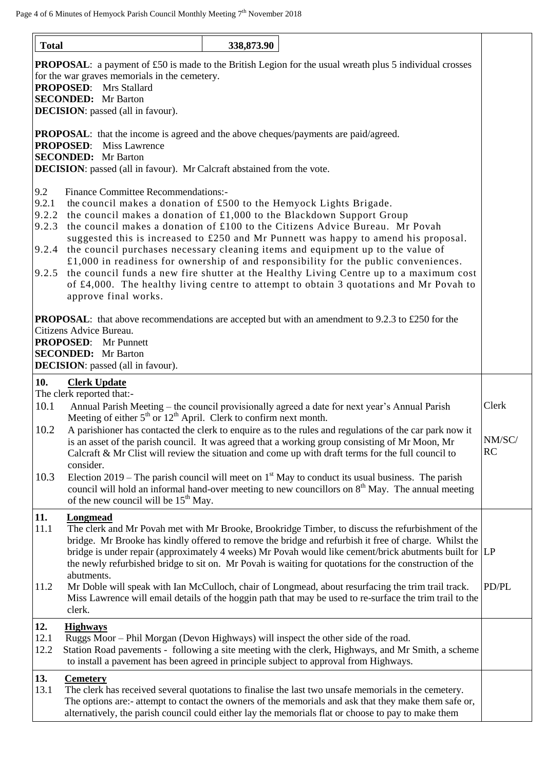| <b>Total</b>                            |                                                                                                                                                                                                                                                 | 338,873.90 |                                                                                                                                                                                                                                                                                                                                                                                                                                                                                                                                      |                       |
|-----------------------------------------|-------------------------------------------------------------------------------------------------------------------------------------------------------------------------------------------------------------------------------------------------|------------|--------------------------------------------------------------------------------------------------------------------------------------------------------------------------------------------------------------------------------------------------------------------------------------------------------------------------------------------------------------------------------------------------------------------------------------------------------------------------------------------------------------------------------------|-----------------------|
|                                         | for the war graves memorials in the cemetery.<br><b>PROPOSED:</b> Mrs Stallard<br><b>SECONDED:</b> Mr Barton<br><b>DECISION</b> : passed (all in favour).                                                                                       |            | <b>PROPOSAL:</b> a payment of £50 is made to the British Legion for the usual wreath plus 5 individual crosses                                                                                                                                                                                                                                                                                                                                                                                                                       |                       |
|                                         | <b>PROPOSAL:</b> that the income is agreed and the above cheques/payments are paid/agreed.<br><b>PROPOSED:</b><br>Miss Lawrence<br><b>SECONDED:</b> Mr Barton<br><b>DECISION</b> : passed (all in favour). Mr Calcraft abstained from the vote. |            |                                                                                                                                                                                                                                                                                                                                                                                                                                                                                                                                      |                       |
| 9.2<br>9.2.1<br>9.2.3<br>9.2.4<br>9.2.5 | <b>Finance Committee Recommendations:-</b><br>the council makes a donation of £500 to the Hemyock Lights Brigade.<br>9.2.2 the council makes a donation of £1,000 to the Blackdown Support Group<br>approve final works.                        |            | the council makes a donation of £100 to the Citizens Advice Bureau. Mr Povah<br>suggested this is increased to £250 and Mr Punnett was happy to amend his proposal.<br>the council purchases necessary cleaning items and equipment up to the value of<br>$£1,000$ in readiness for ownership of and responsibility for the public conveniences.<br>the council funds a new fire shutter at the Healthy Living Centre up to a maximum cost<br>of £4,000. The healthy living centre to attempt to obtain 3 quotations and Mr Povah to |                       |
|                                         | Citizens Advice Bureau.<br><b>PROPOSED:</b> Mr Punnett<br><b>SECONDED:</b> Mr Barton<br><b>DECISION</b> : passed (all in favour).                                                                                                               |            | <b>PROPOSAL:</b> that above recommendations are accepted but with an amendment to 9.2.3 to £250 for the                                                                                                                                                                                                                                                                                                                                                                                                                              |                       |
| 10.<br>10.1<br>10.2                     | <b>Clerk Update</b><br>The clerk reported that:-<br>Meeting of either $5th$ or $12th$ April. Clerk to confirm next month.                                                                                                                       |            | Annual Parish Meeting – the council provisionally agreed a date for next year's Annual Parish<br>A parishioner has contacted the clerk to enquire as to the rules and regulations of the car park now it<br>is an asset of the parish council. It was agreed that a working group consisting of Mr Moon, Mr<br>Calcraft $\&$ Mr Clist will review the situation and come up with draft terms for the full council to                                                                                                                 | Clerk<br>NM/SC/<br>RC |
| 10.3                                    | consider.<br>of the new council will be 15 <sup>th</sup> May.                                                                                                                                                                                   |            | Election 2019 – The parish council will meet on $1st$ May to conduct its usual business. The parish<br>council will hold an informal hand-over meeting to new councillors on 8 <sup>th</sup> May. The annual meeting                                                                                                                                                                                                                                                                                                                 |                       |
| 11.<br>11.1                             | <b>Longmead</b><br>abutments.                                                                                                                                                                                                                   |            | The clerk and Mr Povah met with Mr Brooke, Brookridge Timber, to discuss the refurbishment of the<br>bridge. Mr Brooke has kindly offered to remove the bridge and refurbish it free of charge. Whilst the<br>bridge is under repair (approximately 4 weeks) Mr Povah would like cement/brick abutments built for LP<br>the newly refurbished bridge to sit on. Mr Povah is waiting for quotations for the construction of the                                                                                                       |                       |
| 11.2                                    | clerk.                                                                                                                                                                                                                                          |            | Mr Doble will speak with Ian McCulloch, chair of Longmead, about resurfacing the trim trail track.<br>Miss Lawrence will email details of the hoggin path that may be used to re-surface the trim trail to the                                                                                                                                                                                                                                                                                                                       | PD/PL                 |
| 12.<br>12.1<br>12.2                     | <b>Highways</b><br>Ruggs Moor - Phil Morgan (Devon Highways) will inspect the other side of the road.<br>to install a pavement has been agreed in principle subject to approval from Highways.                                                  |            | Station Road pavements - following a site meeting with the clerk, Highways, and Mr Smith, a scheme                                                                                                                                                                                                                                                                                                                                                                                                                                   |                       |
| 13.<br>13.1                             | <b>Cemetery</b>                                                                                                                                                                                                                                 |            | The clerk has received several quotations to finalise the last two unsafe memorials in the cemetery.<br>The options are:- attempt to contact the owners of the memorials and ask that they make them safe or,<br>alternatively, the parish council could either lay the memorials flat or choose to pay to make them                                                                                                                                                                                                                 |                       |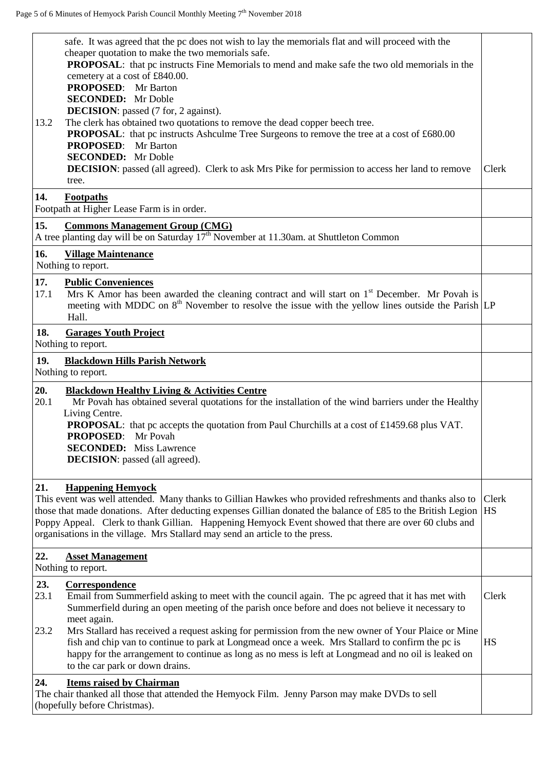| 13.2<br>14.         | safe. It was agreed that the pc does not wish to lay the memorials flat and will proceed with the<br>cheaper quotation to make the two memorials safe.<br><b>PROPOSAL:</b> that pc instructs Fine Memorials to mend and make safe the two old memorials in the<br>cemetery at a cost of £840.00.<br><b>PROPOSED:</b> Mr Barton<br><b>SECONDED:</b> Mr Doble<br><b>DECISION</b> : passed (7 for, 2 against).<br>The clerk has obtained two quotations to remove the dead copper beech tree.<br><b>PROPOSAL:</b> that pc instructs Ashculme Tree Surgeons to remove the tree at a cost of £680.00<br><b>PROPOSED:</b> Mr Barton<br><b>SECONDED:</b> Mr Doble<br><b>DECISION:</b> passed (all agreed). Clerk to ask Mrs Pike for permission to access her land to remove<br>tree. | Clerk              |
|---------------------|--------------------------------------------------------------------------------------------------------------------------------------------------------------------------------------------------------------------------------------------------------------------------------------------------------------------------------------------------------------------------------------------------------------------------------------------------------------------------------------------------------------------------------------------------------------------------------------------------------------------------------------------------------------------------------------------------------------------------------------------------------------------------------|--------------------|
|                     | <b>Footpaths</b><br>Footpath at Higher Lease Farm is in order.                                                                                                                                                                                                                                                                                                                                                                                                                                                                                                                                                                                                                                                                                                                 |                    |
| 15.                 | <b>Commons Management Group (CMG)</b><br>A tree planting day will be on Saturday 17 <sup>th</sup> November at 11.30am. at Shuttleton Common                                                                                                                                                                                                                                                                                                                                                                                                                                                                                                                                                                                                                                    |                    |
| 16.                 | <b>Village Maintenance</b><br>Nothing to report.                                                                                                                                                                                                                                                                                                                                                                                                                                                                                                                                                                                                                                                                                                                               |                    |
| 17.<br>17.1         | <b>Public Conveniences</b><br>Mrs K Amor has been awarded the cleaning contract and will start on 1 <sup>st</sup> December. Mr Povah is<br>meeting with MDDC on $8th$ November to resolve the issue with the yellow lines outside the Parish LP<br>Hall.                                                                                                                                                                                                                                                                                                                                                                                                                                                                                                                       |                    |
| 18.                 | <b>Garages Youth Project</b><br>Nothing to report.                                                                                                                                                                                                                                                                                                                                                                                                                                                                                                                                                                                                                                                                                                                             |                    |
| 19.                 | <b>Blackdown Hills Parish Network</b><br>Nothing to report.                                                                                                                                                                                                                                                                                                                                                                                                                                                                                                                                                                                                                                                                                                                    |                    |
| 20.<br>20.1         | <b>Blackdown Healthy Living &amp; Activities Centre</b><br>Mr Povah has obtained several quotations for the installation of the wind barriers under the Healthy<br>Living Centre.<br><b>PROPOSAL:</b> that pc accepts the quotation from Paul Churchills at a cost of £1459.68 plus VAT.<br><b>PROPOSED:</b> Mr Povah<br><b>SECONDED:</b> Miss Lawrence<br><b>DECISION</b> : passed (all agreed).                                                                                                                                                                                                                                                                                                                                                                              |                    |
| 21.                 | <b>Happening Hemyock</b><br>This event was well attended. Many thanks to Gillian Hawkes who provided refreshments and thanks also to<br>those that made donations. After deducting expenses Gillian donated the balance of £85 to the British Legion<br>Poppy Appeal. Clerk to thank Gillian. Happening Hemyock Event showed that there are over 60 clubs and<br>organisations in the village. Mrs Stallard may send an article to the press.                                                                                                                                                                                                                                                                                                                                  | Clerk<br><b>HS</b> |
| 22.                 | <b>Asset Management</b><br>Nothing to report.                                                                                                                                                                                                                                                                                                                                                                                                                                                                                                                                                                                                                                                                                                                                  |                    |
| 23.<br>23.1<br>23.2 | Correspondence<br>Email from Summerfield asking to meet with the council again. The pc agreed that it has met with<br>Summerfield during an open meeting of the parish once before and does not believe it necessary to<br>meet again.<br>Mrs Stallard has received a request asking for permission from the new owner of Your Plaice or Mine<br>fish and chip van to continue to park at Longmead once a week. Mrs Stallard to confirm the pc is<br>happy for the arrangement to continue as long as no mess is left at Longmead and no oil is leaked on<br>to the car park or down drains.                                                                                                                                                                                   | Clerk<br><b>HS</b> |
| 24.                 | <b>Items raised by Chairman</b><br>The chair thanked all those that attended the Hemyock Film. Jenny Parson may make DVDs to sell<br>(hopefully before Christmas).                                                                                                                                                                                                                                                                                                                                                                                                                                                                                                                                                                                                             |                    |